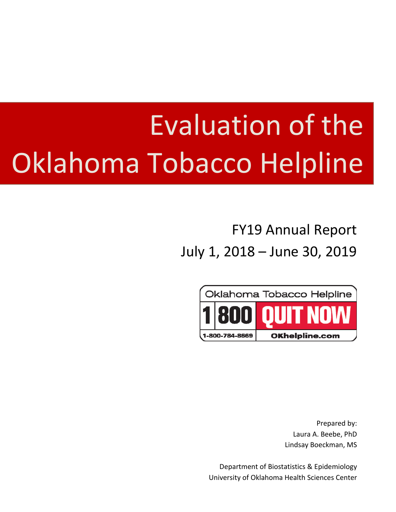# Evaluation of the Oklahoma Tobacco Helpline

# FY19 Annual Report July 1, 2018 – June 30, 2019



Prepared by: Laura A. Beebe, PhD Lindsay Boeckman, MS

Department of Biostatistics & Epidemiology University of Oklahoma Health Sciences Center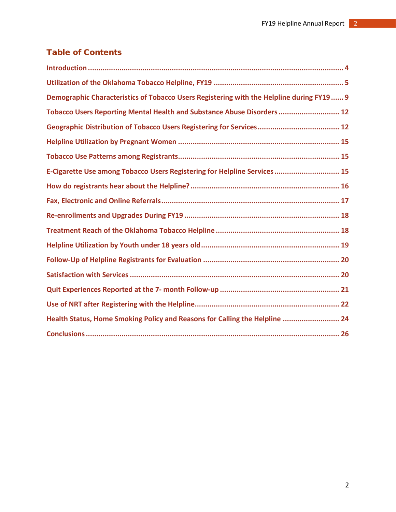# Table of Contents

| Demographic Characteristics of Tobacco Users Registering with the Helpline during FY19 9 |
|------------------------------------------------------------------------------------------|
| Tobacco Users Reporting Mental Health and Substance Abuse Disorders  12                  |
|                                                                                          |
|                                                                                          |
|                                                                                          |
| E-Cigarette Use among Tobacco Users Registering for Helpline Services 15                 |
|                                                                                          |
|                                                                                          |
|                                                                                          |
|                                                                                          |
|                                                                                          |
|                                                                                          |
|                                                                                          |
|                                                                                          |
|                                                                                          |
| Health Status, Home Smoking Policy and Reasons for Calling the Helpline  24              |
|                                                                                          |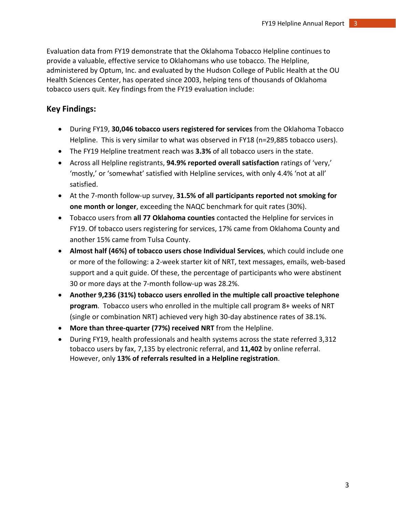Evaluation data from FY19 demonstrate that the Oklahoma Tobacco Helpline continues to provide a valuable, effective service to Oklahomans who use tobacco. The Helpline, administered by Optum, Inc. and evaluated by the Hudson College of Public Health at the OU Health Sciences Center, has operated since 2003, helping tens of thousands of Oklahoma tobacco users quit. Key findings from the FY19 evaluation include:

# **Key Findings:**

- During FY19, **30,046 tobacco users registered for services** from the Oklahoma Tobacco Helpline. This is very similar to what was observed in FY18 (n=29,885 tobacco users).
- The FY19 Helpline treatment reach was **3.3%** of all tobacco users in the state.
- Across all Helpline registrants, **94.9% reported overall satisfaction** ratings of 'very,' 'mostly,' or 'somewhat' satisfied with Helpline services, with only 4.4% 'not at all' satisfied.
- At the 7-month follow-up survey, **31.5% of all participants reported not smoking for one month or longer**, exceeding the NAQC benchmark for quit rates (30%).
- Tobacco users from **all 77 Oklahoma counties** contacted the Helpline for services in FY19. Of tobacco users registering for services, 17% came from Oklahoma County and another 15% came from Tulsa County.
- **Almost half (46%) of tobacco users chose Individual Services**, which could include one or more of the following: a 2-week starter kit of NRT, text messages, emails, web-based support and a quit guide. Of these, the percentage of participants who were abstinent 30 or more days at the 7-month follow-up was 28.2%.
- **Another 9,236 (31%) tobacco users enrolled in the multiple call proactive telephone program**. Tobacco users who enrolled in the multiple call program 8+ weeks of NRT (single or combination NRT) achieved very high 30-day abstinence rates of 38.1%.
- **More than three-quarter (77%) received NRT** from the Helpline.
- During FY19, health professionals and health systems across the state referred 3,312 tobacco users by fax, 7,135 by electronic referral, and **11,402** by online referral. However, only **13% of referrals resulted in a Helpline registration**.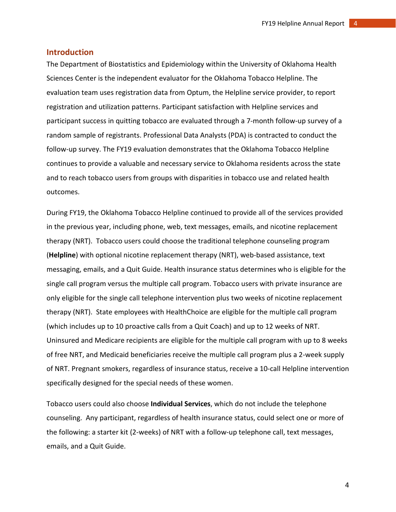#### <span id="page-3-0"></span>**Introduction**

The Department of Biostatistics and Epidemiology within the University of Oklahoma Health Sciences Center is the independent evaluator for the Oklahoma Tobacco Helpline. The evaluation team uses registration data from Optum, the Helpline service provider, to report registration and utilization patterns. Participant satisfaction with Helpline services and participant success in quitting tobacco are evaluated through a 7-month follow-up survey of a random sample of registrants. Professional Data Analysts (PDA) is contracted to conduct the follow-up survey. The FY19 evaluation demonstrates that the Oklahoma Tobacco Helpline continues to provide a valuable and necessary service to Oklahoma residents across the state and to reach tobacco users from groups with disparities in tobacco use and related health outcomes.

During FY19, the Oklahoma Tobacco Helpline continued to provide all of the services provided in the previous year, including phone, web, text messages, emails, and nicotine replacement therapy (NRT). Tobacco users could choose the traditional telephone counseling program (**Helpline**) with optional nicotine replacement therapy (NRT), web-based assistance, text messaging, emails, and a Quit Guide. Health insurance status determines who is eligible for the single call program versus the multiple call program. Tobacco users with private insurance are only eligible for the single call telephone intervention plus two weeks of nicotine replacement therapy (NRT). State employees with HealthChoice are eligible for the multiple call program (which includes up to 10 proactive calls from a Quit Coach) and up to 12 weeks of NRT. Uninsured and Medicare recipients are eligible for the multiple call program with up to 8 weeks of free NRT, and Medicaid beneficiaries receive the multiple call program plus a 2-week supply of NRT. Pregnant smokers, regardless of insurance status, receive a 10-call Helpline intervention specifically designed for the special needs of these women.

Tobacco users could also choose **Individual Services**, which do not include the telephone counseling. Any participant, regardless of health insurance status, could select one or more of the following: a starter kit (2-weeks) of NRT with a follow-up telephone call, text messages, emails, and a Quit Guide.

4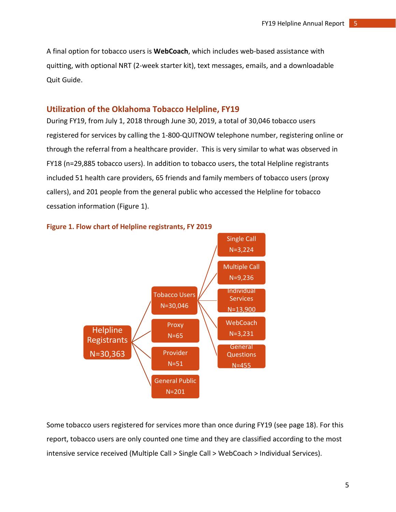A final option for tobacco users is **WebCoach**, which includes web-based assistance with quitting, with optional NRT (2-week starter kit), text messages, emails, and a downloadable Quit Guide.

#### <span id="page-4-0"></span>**Utilization of the Oklahoma Tobacco Helpline, FY19**

During FY19, from July 1, 2018 through June 30, 2019, a total of 30,046 tobacco users registered for services by calling the 1-800-QUITNOW telephone number, registering online or through the referral from a healthcare provider. This is very similar to what was observed in FY18 (n=29,885 tobacco users). In addition to tobacco users, the total Helpline registrants included 51 health care providers, 65 friends and family members of tobacco users (proxy callers), and 201 people from the general public who accessed the Helpline for tobacco cessation information (Figure 1).





Some tobacco users registered for services more than once during FY19 (see page 18). For this report, tobacco users are only counted one time and they are classified according to the most intensive service received (Multiple Call > Single Call > WebCoach > Individual Services).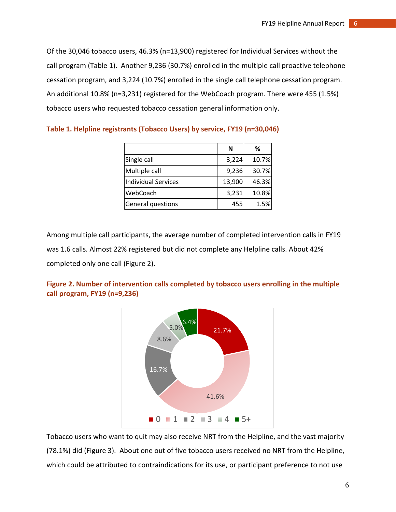Of the 30,046 tobacco users, 46.3% (n=13,900) registered for Individual Services without the call program (Table 1). Another 9,236 (30.7%) enrolled in the multiple call proactive telephone cessation program, and 3,224 (10.7%) enrolled in the single call telephone cessation program. An additional 10.8% (n=3,231) registered for the WebCoach program. There were 455 (1.5%) tobacco users who requested tobacco cessation general information only.

|                     | N      | ℅     |
|---------------------|--------|-------|
| Single call         | 3,224  | 10.7% |
| Multiple call       | 9,236  | 30.7% |
| Individual Services | 13,900 | 46.3% |
| WebCoach            | 3,231  | 10.8% |
| General questions   | 455    | 1.5%  |

**Table 1. Helpline registrants (Tobacco Users) by service, FY19 (n=30,046)**

Among multiple call participants, the average number of completed intervention calls in FY19 was 1.6 calls. Almost 22% registered but did not complete any Helpline calls. About 42% completed only one call (Figure 2).





Tobacco users who want to quit may also receive NRT from the Helpline, and the vast majority (78.1%) did (Figure 3). About one out of five tobacco users received no NRT from the Helpline, which could be attributed to contraindications for its use, or participant preference to not use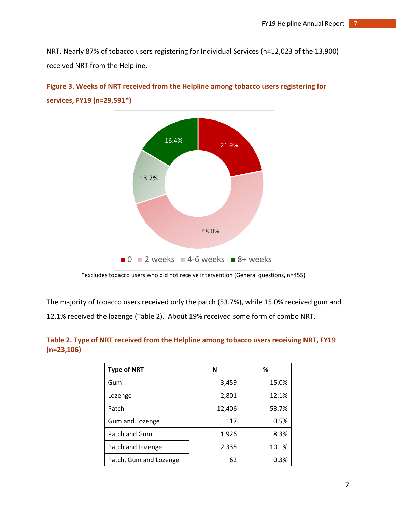NRT. Nearly 87% of tobacco users registering for Individual Services (n=12,023 of the 13,900) received NRT from the Helpline.





The majority of tobacco users received only the patch (53.7%), while 15.0% received gum and 12.1% received the lozenge (Table 2). About 19% received some form of combo NRT.

#### **Table 2. Type of NRT received from the Helpline among tobacco users receiving NRT, FY19 (n=23,106)**

| <b>Type of NRT</b>     | N      | ℅     |
|------------------------|--------|-------|
| Gum                    | 3,459  | 15.0% |
| Lozenge                | 2,801  | 12.1% |
| Patch                  | 12,406 | 53.7% |
| Gum and Lozenge        | 117    | 0.5%  |
| Patch and Gum          | 1,926  | 8.3%  |
| Patch and Lozenge      | 2,335  | 10.1% |
| Patch, Gum and Lozenge | 62     | 0.3%  |

<sup>\*</sup>excludes tobacco users who did not receive intervention (General questions, n=455)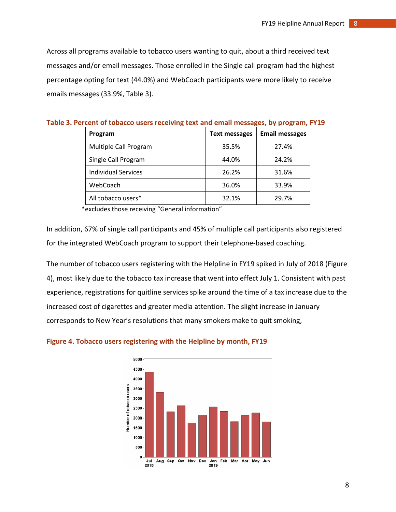Across all programs available to tobacco users wanting to quit, about a third received text messages and/or email messages. Those enrolled in the Single call program had the highest percentage opting for text (44.0%) and WebCoach participants were more likely to receive emails messages (33.9%, Table 3).

| Program                    | <b>Text messages</b> | <b>Email messages</b> |
|----------------------------|----------------------|-----------------------|
| Multiple Call Program      | 35.5%                | 27.4%                 |
| Single Call Program        | 44.0%                | 24.2%                 |
| <b>Individual Services</b> | 26.2%                | 31.6%                 |
| WebCoach                   | 36.0%                | 33.9%                 |
| All tobacco users*         | 32.1%                | 29.7%                 |

| Table 3. Percent of tobacco users receiving text and email messages, by program, FY19 |  |  |  |
|---------------------------------------------------------------------------------------|--|--|--|
|---------------------------------------------------------------------------------------|--|--|--|

\*excludes those receiving "General information"

In addition, 67% of single call participants and 45% of multiple call participants also registered for the integrated WebCoach program to support their telephone-based coaching.

The number of tobacco users registering with the Helpline in FY19 spiked in July of 2018 (Figure 4), most likely due to the tobacco tax increase that went into effect July 1. Consistent with past experience, registrations for quitline services spike around the time of a tax increase due to the increased cost of cigarettes and greater media attention. The slight increase in January corresponds to New Year's resolutions that many smokers make to quit smoking,

#### **Figure 4. Tobacco users registering with the Helpline by month, FY19**

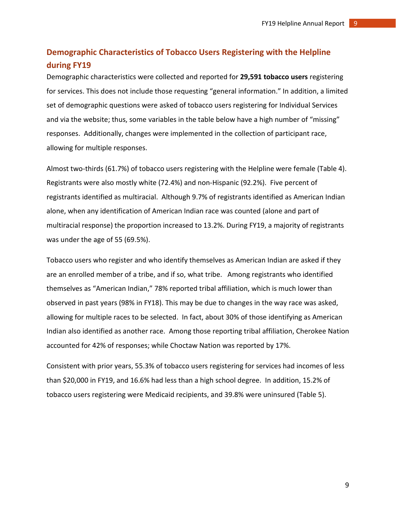# <span id="page-8-0"></span>**Demographic Characteristics of Tobacco Users Registering with the Helpline during FY19**

Demographic characteristics were collected and reported for **29,591 tobacco users** registering for services. This does not include those requesting "general information." In addition, a limited set of demographic questions were asked of tobacco users registering for Individual Services and via the website; thus, some variables in the table below have a high number of "missing" responses. Additionally, changes were implemented in the collection of participant race, allowing for multiple responses.

Almost two-thirds (61.7%) of tobacco users registering with the Helpline were female (Table 4). Registrants were also mostly white (72.4%) and non-Hispanic (92.2%). Five percent of registrants identified as multiracial. Although 9.7% of registrants identified as American Indian alone, when any identification of American Indian race was counted (alone and part of multiracial response) the proportion increased to 13.2%. During FY19, a majority of registrants was under the age of 55 (69.5%).

Tobacco users who register and who identify themselves as American Indian are asked if they are an enrolled member of a tribe, and if so, what tribe. Among registrants who identified themselves as "American Indian," 78% reported tribal affiliation, which is much lower than observed in past years (98% in FY18). This may be due to changes in the way race was asked, allowing for multiple races to be selected. In fact, about 30% of those identifying as American Indian also identified as another race. Among those reporting tribal affiliation, Cherokee Nation accounted for 42% of responses; while Choctaw Nation was reported by 17%.

Consistent with prior years, 55.3% of tobacco users registering for services had incomes of less than \$20,000 in FY19, and 16.6% had less than a high school degree. In addition, 15.2% of tobacco users registering were Medicaid recipients, and 39.8% were uninsured (Table 5).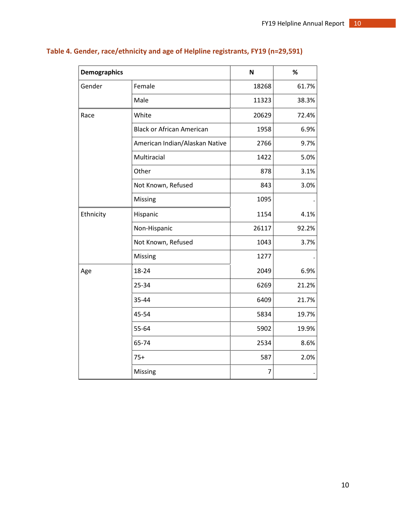| <b>Demographics</b> |                                  | N     | %     |
|---------------------|----------------------------------|-------|-------|
| Gender              | Female                           | 18268 | 61.7% |
|                     | Male                             | 11323 | 38.3% |
| Race                | White                            | 20629 | 72.4% |
|                     | <b>Black or African American</b> | 1958  | 6.9%  |
|                     | American Indian/Alaskan Native   | 2766  | 9.7%  |
|                     | Multiracial                      | 1422  | 5.0%  |
|                     | Other                            | 878   | 3.1%  |
|                     | Not Known, Refused               | 843   | 3.0%  |
|                     | Missing                          | 1095  |       |
| Ethnicity           | Hispanic                         | 1154  | 4.1%  |
|                     | Non-Hispanic                     | 26117 | 92.2% |
|                     | Not Known, Refused               | 1043  | 3.7%  |
|                     | Missing                          | 1277  |       |
| Age                 | 18-24                            | 2049  | 6.9%  |
|                     | 25-34                            | 6269  | 21.2% |
|                     | 35-44                            | 6409  | 21.7% |
|                     | 45-54                            | 5834  | 19.7% |
|                     | 55-64                            | 5902  | 19.9% |
|                     | 65-74                            | 2534  | 8.6%  |
|                     | $75+$                            | 587   | 2.0%  |
|                     | Missing                          | 7     |       |

# **Table 4. Gender, race/ethnicity and age of Helpline registrants, FY19 (n=29,591)**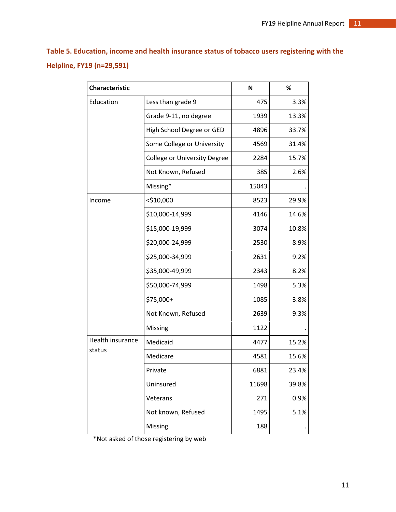**Table 5. Education, income and health insurance status of tobacco users registering with the Helpline, FY19 (n=29,591)**

| <b>Characteristic</b> |                                     | $\mathsf N$ | %     |
|-----------------------|-------------------------------------|-------------|-------|
| Education             | Less than grade 9                   | 475         | 3.3%  |
|                       | Grade 9-11, no degree               | 1939        | 13.3% |
|                       | High School Degree or GED           | 4896        | 33.7% |
|                       | Some College or University          | 4569        | 31.4% |
|                       | <b>College or University Degree</b> | 2284        | 15.7% |
|                       | Not Known, Refused                  | 385         | 2.6%  |
|                       | Missing*                            | 15043       |       |
| Income                | $<$ \$10,000                        | 8523        | 29.9% |
|                       | \$10,000-14,999                     | 4146        | 14.6% |
|                       | \$15,000-19,999                     | 3074        | 10.8% |
|                       | \$20,000-24,999                     | 2530        | 8.9%  |
|                       | \$25,000-34,999                     | 2631        | 9.2%  |
|                       | \$35,000-49,999                     | 2343        | 8.2%  |
|                       | \$50,000-74,999                     | 1498        | 5.3%  |
|                       | \$75,000+                           | 1085        | 3.8%  |
|                       | Not Known, Refused                  | 2639        | 9.3%  |
|                       | Missing                             | 1122        |       |
| Health insurance      | Medicaid                            | 4477        | 15.2% |
| status                | Medicare                            | 4581        | 15.6% |
|                       | Private                             | 6881        | 23.4% |
|                       | Uninsured                           | 11698       | 39.8% |
|                       | Veterans                            | 271         | 0.9%  |
|                       | Not known, Refused                  | 1495        | 5.1%  |
|                       | Missing                             | 188         |       |

\*Not asked of those registering by web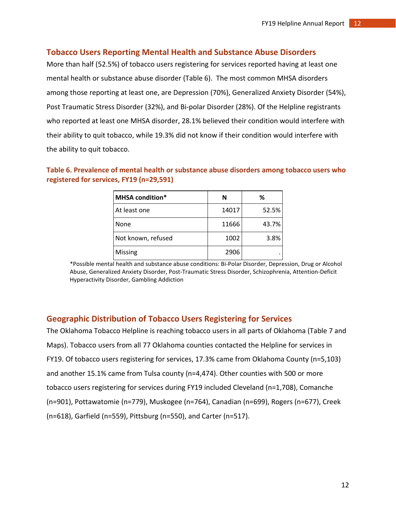#### <span id="page-11-0"></span>**Tobacco Users Reporting Mental Health and Substance Abuse Disorders**

More than half (52.5%) of tobacco users registering for services reported having at least one mental health or substance abuse disorder (Table 6). The most common MHSA disorders among those reporting at least one, are Depression (70%), Generalized Anxiety Disorder (54%), Post Traumatic Stress Disorder (32%), and Bi-polar Disorder (28%). Of the Helpline registrants who reported at least one MHSA disorder, 28.1% believed their condition would interfere with their ability to quit tobacco, while 19.3% did not know if their condition would interfere with the ability to quit tobacco.

| <b>MHSA condition*</b> | N     | ℅     |
|------------------------|-------|-------|
| At least one           | 14017 | 52.5% |
| None                   | 11666 | 43.7% |
| Not known, refused     | 1002  | 3.8%  |
| Missing                | 2906  |       |

#### **Table 6. Prevalence of mental health or substance abuse disorders among tobacco users who registered for services, FY19 (n=29,591)**

\*Possible mental health and substance abuse conditions: Bi-Polar Disorder, Depression, Drug or Alcohol Abuse, Generalized Anxiety Disorder, Post-Traumatic Stress Disorder, Schizophrenia, Attention-Deficit Hyperactivity Disorder, Gambling Addiction

#### <span id="page-11-1"></span>**Geographic Distribution of Tobacco Users Registering for Services**

The Oklahoma Tobacco Helpline is reaching tobacco users in all parts of Oklahoma (Table 7 and Maps). Tobacco users from all 77 Oklahoma counties contacted the Helpline for services in FY19. Of tobacco users registering for services, 17.3% came from Oklahoma County (n=5,103) and another 15.1% came from Tulsa county (n=4,474). Other counties with 500 or more tobacco users registering for services during FY19 included Cleveland (n=1,708), Comanche (n=901), Pottawatomie (n=779), Muskogee (n=764), Canadian (n=699), Rogers (n=677), Creek (n=618), Garfield (n=559), Pittsburg (n=550), and Carter (n=517).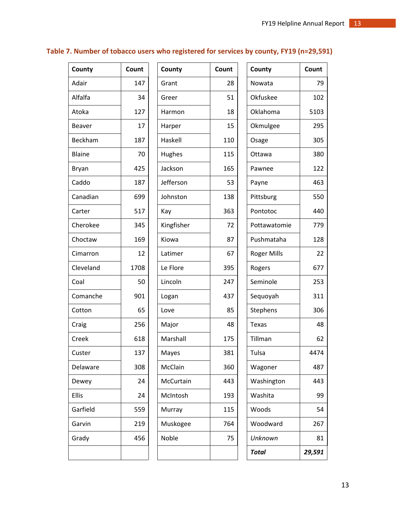# **Table 7. Number of tobacco users who registered for services by county, FY19 (n=29,591)**

| County        | Count | County     | Count | County             | Count  |
|---------------|-------|------------|-------|--------------------|--------|
| Adair         | 147   | Grant      | 28    | Nowata             | 79     |
| Alfalfa       | 34    | Greer      | 51    | Okfuskee           | 102    |
| Atoka         | 127   | Harmon     | 18    | Oklahoma           | 5103   |
| <b>Beaver</b> | 17    | Harper     | 15    | Okmulgee           | 295    |
| Beckham       | 187   | Haskell    | 110   | Osage              | 305    |
| <b>Blaine</b> | 70    | Hughes     | 115   | Ottawa             | 380    |
| Bryan         | 425   | Jackson    | 165   | Pawnee             | 122    |
| Caddo         | 187   | Jefferson  | 53    | Payne              | 463    |
| Canadian      | 699   | Johnston   | 138   | Pittsburg          | 550    |
| Carter        | 517   | Kay        | 363   | Pontotoc           | 440    |
| Cherokee      | 345   | Kingfisher | 72    | Pottawatomie       | 779    |
| Choctaw       | 169   | Kiowa      | 87    | Pushmataha         | 128    |
| Cimarron      | 12    | Latimer    | 67    | <b>Roger Mills</b> | 22     |
| Cleveland     | 1708  | Le Flore   | 395   | Rogers             | 677    |
| Coal          | 50    | Lincoln    | 247   | Seminole           | 253    |
| Comanche      | 901   | Logan      | 437   | Sequoyah           | 311    |
| Cotton        | 65    | Love       | 85    | Stephens           | 306    |
| Craig         | 256   | Major      | 48    | Texas              | 48     |
| Creek         | 618   | Marshall   | 175   | Tillman            | 62     |
| Custer        | 137   | Mayes      | 381   | Tulsa              | 4474   |
| Delaware      | 308   | McClain    | 360   | Wagoner            | 487    |
| Dewey         | 24    | McCurtain  | 443   | Washington         | 443    |
| Ellis         | 24    | McIntosh   | 193   | Washita            | 99     |
| Garfield      | 559   | Murray     | 115   | Woods              | 54     |
| Garvin        | 219   | Muskogee   | 764   | Woodward           | 267    |
| Grady         | 456   | Noble      | 75    | Unknown            | 81     |
|               |       |            |       | <b>Total</b>       | 29,591 |

| County     | Count |
|------------|-------|
| Grant      | 28    |
| Greer      | 51    |
| Harmon     | 18    |
| Harper     | 15    |
| Haskell    | 110   |
| Hughes     | 115   |
| Jackson    | 165   |
| Jefferson  | 53    |
| Johnston   | 138   |
| Kay        | 363   |
| Kingfisher | 72    |
| Kiowa      | 87    |
| Latimer    | 67    |
| Le Flore   | 395   |
| Lincoln    | 247   |
| Logan      | 437   |
| Love       | 85    |
| Major      | 48    |
| Marshall   | 175   |
| Mayes      | 381   |
| McClain    | 360   |
| McCurtain  | 443   |
| McIntosh   | 193   |
| Murray     | 115   |
| Muskogee   | 764   |
| Noble      | 75    |
|            |       |

| County             | Count  |
|--------------------|--------|
| Nowata             | 79     |
| Okfuskee           | 102    |
| Oklahoma           | 5103   |
| Okmulgee           | 295    |
| Osage              | 305    |
| Ottawa             | 380    |
| Pawnee             | 122    |
| Payne              | 463    |
| Pittsburg          | 550    |
| Pontotoc           | 440    |
| Pottawatomie       | 779    |
| Pushmataha         | 128    |
| <b>Roger Mills</b> | 22     |
| Rogers             | 677    |
| Seminole           | 253    |
| Sequoyah           | 311    |
| Stephens           | 306    |
| Texas              | 48     |
| Tillman            | 62     |
| Tulsa              | 4474   |
| Wagoner            | 487    |
| Washington         | 443    |
| Washita            | 99     |
| Woods              | 54     |
| Woodward           | 267    |
| Unknown            | 81     |
| Total              | 29,591 |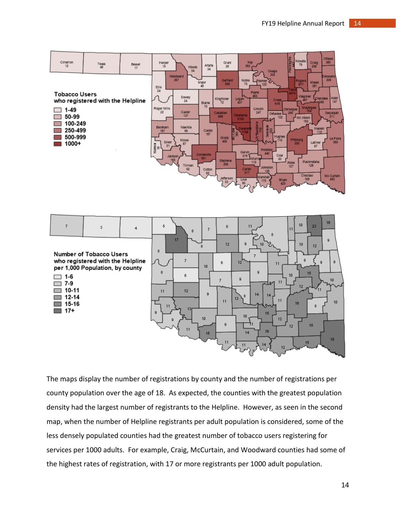



The maps display the number of registrations by county and the number of registrations per county population over the age of 18. As expected, the counties with the greatest population density had the largest number of registrants to the Helpline. However, as seen in the second map, when the number of Helpline registrants per adult population is considered, some of the less densely populated counties had the greatest number of tobacco users registering for services per 1000 adults. For example, Craig, McCurtain, and Woodward counties had some of the highest rates of registration, with 17 or more registrants per 1000 adult population.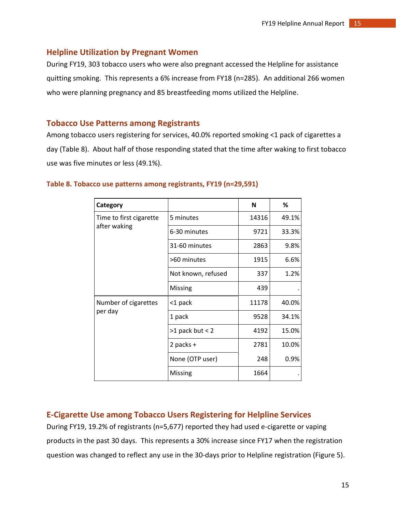#### <span id="page-14-0"></span>**Helpline Utilization by Pregnant Women**

During FY19, 303 tobacco users who were also pregnant accessed the Helpline for assistance quitting smoking. This represents a 6% increase from FY18 (n=285). An additional 266 women who were planning pregnancy and 85 breastfeeding moms utilized the Helpline.

#### <span id="page-14-1"></span>**Tobacco Use Patterns among Registrants**

Among tobacco users registering for services, 40.0% reported smoking <1 pack of cigarettes a day (Table 8). About half of those responding stated that the time after waking to first tobacco use was five minutes or less (49.1%).

| Category                |                    | N     | %     |
|-------------------------|--------------------|-------|-------|
| Time to first cigarette | 5 minutes          | 14316 | 49.1% |
| after waking            | 6-30 minutes       | 9721  | 33.3% |
|                         | 31-60 minutes      | 2863  | 9.8%  |
|                         | >60 minutes        | 1915  | 6.6%  |
|                         | Not known, refused | 337   | 1.2%  |
|                         | Missing            | 439   |       |
| Number of cigarettes    | <1 pack            | 11178 | 40.0% |
| per day                 | 1 pack             | 9528  | 34.1% |
|                         | $>1$ pack but < 2  | 4192  | 15.0% |
|                         | 2 packs +          | 2781  | 10.0% |
|                         | None (OTP user)    | 248   | 0.9%  |
|                         | Missing            | 1664  |       |

#### **Table 8. Tobacco use patterns among registrants, FY19 (n=29,591)**

## <span id="page-14-2"></span>**E-Cigarette Use among Tobacco Users Registering for Helpline Services**

During FY19, 19.2% of registrants (n=5,677) reported they had used e-cigarette or vaping products in the past 30 days. This represents a 30% increase since FY17 when the registration question was changed to reflect any use in the 30-days prior to Helpline registration (Figure 5).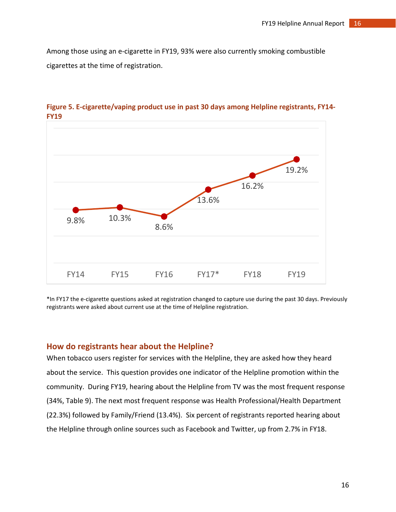Among those using an e-cigarette in FY19, 93% were also currently smoking combustible cigarettes at the time of registration.



**Figure 5. E-cigarette/vaping product use in past 30 days among Helpline registrants, FY14- FY19**

\*In FY17 the e-cigarette questions asked at registration changed to capture use during the past 30 days. Previously registrants were asked about current use at the time of Helpline registration.

#### <span id="page-15-0"></span>**How do registrants hear about the Helpline?**

When tobacco users register for services with the Helpline, they are asked how they heard about the service. This question provides one indicator of the Helpline promotion within the community. During FY19, hearing about the Helpline from TV was the most frequent response (34%, Table 9). The next most frequent response was Health Professional/Health Department (22.3%) followed by Family/Friend (13.4%). Six percent of registrants reported hearing about the Helpline through online sources such as Facebook and Twitter, up from 2.7% in FY18.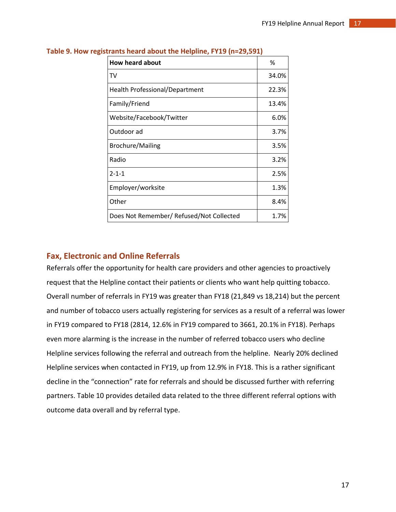| <b>How heard about</b>                   | %     |
|------------------------------------------|-------|
| TV                                       | 34.0% |
| <b>Health Professional/Department</b>    | 22.3% |
| Family/Friend                            | 13.4% |
| Website/Facebook/Twitter                 | 6.0%  |
| Outdoor ad                               | 3.7%  |
| <b>Brochure/Mailing</b>                  | 3.5%  |
| Radio                                    | 3.2%  |
| $2 - 1 - 1$                              | 2.5%  |
| Employer/worksite                        | 1.3%  |
| Other                                    | 8.4%  |
| Does Not Remember/ Refused/Not Collected | 1.7%  |

**Table 9. How registrants heard about the Helpline, FY19 (n=29,591)** 

#### <span id="page-16-0"></span>**Fax, Electronic and Online Referrals**

Referrals offer the opportunity for health care providers and other agencies to proactively request that the Helpline contact their patients or clients who want help quitting tobacco. Overall number of referrals in FY19 was greater than FY18 (21,849 vs 18,214) but the percent and number of tobacco users actually registering for services as a result of a referral was lower in FY19 compared to FY18 (2814, 12.6% in FY19 compared to 3661, 20.1% in FY18). Perhaps even more alarming is the increase in the number of referred tobacco users who decline Helpline services following the referral and outreach from the helpline. Nearly 20% declined Helpline services when contacted in FY19, up from 12.9% in FY18. This is a rather significant decline in the "connection" rate for referrals and should be discussed further with referring partners. Table 10 provides detailed data related to the three different referral options with outcome data overall and by referral type.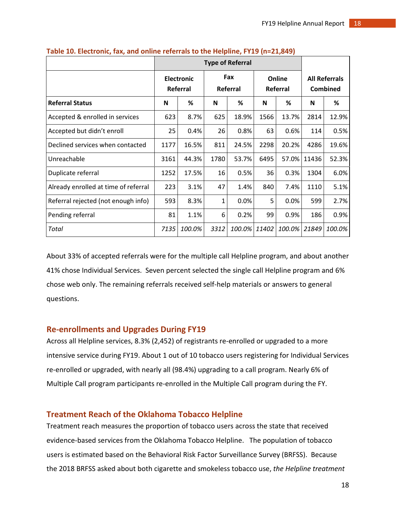|                                      | <b>Type of Referral</b> |                               |      |                 |                    |        |                                  |        |
|--------------------------------------|-------------------------|-------------------------------|------|-----------------|--------------------|--------|----------------------------------|--------|
|                                      |                         | <b>Electronic</b><br>Referral |      | Fax<br>Referral | Online<br>Referral |        | <b>All Referrals</b><br>Combined |        |
| <b>Referral Status</b>               | N                       | %                             | N    | ℅               | N                  | %      | N                                | %      |
| Accepted & enrolled in services      | 623                     | 8.7%                          | 625  | 18.9%           | 1566               | 13.7%  | 2814                             | 12.9%  |
| Accepted but didn't enroll           | 25                      | 0.4%                          | 26   | 0.8%            | 63                 | 0.6%   | 114                              | 0.5%   |
| Declined services when contacted     | 1177                    | 16.5%                         | 811  | 24.5%           | 2298               | 20.2%  | 4286                             | 19.6%  |
| Unreachable                          | 3161                    | 44.3%                         | 1780 | 53.7%           | 6495               | 57.0%  | 11436                            | 52.3%  |
| Duplicate referral                   | 1252                    | 17.5%                         | 16   | 0.5%            | 36                 | 0.3%   | 1304                             | 6.0%   |
| Already enrolled at time of referral | 223                     | 3.1%                          | 47   | 1.4%            | 840                | 7.4%   | 1110                             | 5.1%   |
| Referral rejected (not enough info)  | 593                     | 8.3%                          | 1    | 0.0%            | 5                  | 0.0%   | 599                              | 2.7%   |
| Pending referral                     | 81                      | 1.1%                          | 6    | 0.2%            | 99                 | 0.9%   | 186                              | 0.9%   |
| Total                                | 7135                    | 100.0%                        | 3312 | 100.0%          | 11402              | 100.0% | 21849                            | 100.0% |

**Table 10. Electronic, fax, and online referrals to the Helpline, FY19 (n=21,849)** 

About 33% of accepted referrals were for the multiple call Helpline program, and about another 41% chose Individual Services. Seven percent selected the single call Helpline program and 6% chose web only. The remaining referrals received self-help materials or answers to general questions.

#### <span id="page-17-0"></span>**Re-enrollments and Upgrades During FY19**

Across all Helpline services, 8.3% (2,452) of registrants re-enrolled or upgraded to a more intensive service during FY19. About 1 out of 10 tobacco users registering for Individual Services re-enrolled or upgraded, with nearly all (98.4%) upgrading to a call program. Nearly 6% of Multiple Call program participants re-enrolled in the Multiple Call program during the FY.

## <span id="page-17-1"></span>**Treatment Reach of the Oklahoma Tobacco Helpline**

Treatment reach measures the proportion of tobacco users across the state that received evidence-based services from the Oklahoma Tobacco Helpline. The population of tobacco users is estimated based on the Behavioral Risk Factor Surveillance Survey (BRFSS). Because the 2018 BRFSS asked about both cigarette and smokeless tobacco use, *the Helpline treatment*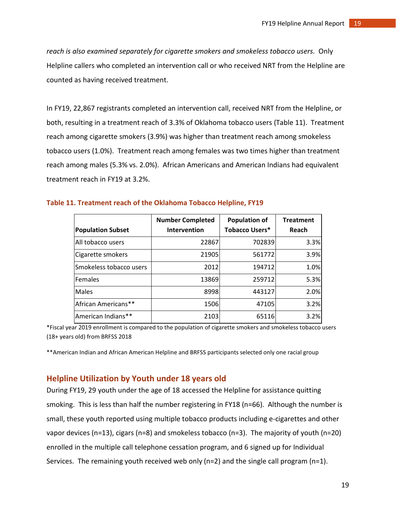*reach is also examined separately for cigarette smokers and smokeless tobacco users.* Only Helpline callers who completed an intervention call or who received NRT from the Helpline are counted as having received treatment.

In FY19, 22,867 registrants completed an intervention call, received NRT from the Helpline, or both, resulting in a treatment reach of 3.3% of Oklahoma tobacco users (Table 11). Treatment reach among cigarette smokers (3.9%) was higher than treatment reach among smokeless tobacco users (1.0%). Treatment reach among females was two times higher than treatment reach among males (5.3% vs. 2.0%). African Americans and American Indians had equivalent treatment reach in FY19 at 3.2%.

|                          | <b>Number Completed</b> | <b>Population of</b>  | <b>Treatment</b> |
|--------------------------|-------------------------|-----------------------|------------------|
| <b>Population Subset</b> | Intervention            | <b>Tobacco Users*</b> | Reach            |
| All tobacco users        | 22867                   | 702839                | 3.3%             |
| Cigarette smokers        | 21905                   | 561772                | 3.9%             |
| Smokeless tobacco users  | 2012                    | 194712                | 1.0%             |
| <b>Females</b>           | 13869                   | 259712                | 5.3%             |
| <b>Males</b>             | 8998                    | 443127                | 2.0%             |
| African Americans**      | 1506                    | 47105                 | 3.2%             |
| American Indians**       | 2103                    | 65116                 | 3.2%             |

#### **Table 11. Treatment reach of the Oklahoma Tobacco Helpline, FY19**

\*Fiscal year 2019 enrollment is compared to the population of cigarette smokers and smokeless tobacco users (18+ years old) from BRFSS 2018

\*\*American Indian and African American Helpline and BRFSS participants selected only one racial group

#### <span id="page-18-0"></span>**Helpline Utilization by Youth under 18 years old**

During FY19, 29 youth under the age of 18 accessed the Helpline for assistance quitting smoking. This is less than half the number registering in FY18 (n=66). Although the number is small, these youth reported using multiple tobacco products including e-cigarettes and other vapor devices (n=13), cigars (n=8) and smokeless tobacco (n=3). The majority of youth (n=20) enrolled in the multiple call telephone cessation program, and 6 signed up for Individual Services. The remaining youth received web only (n=2) and the single call program (n=1).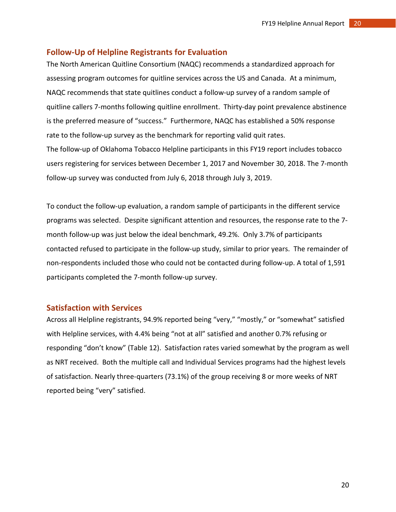#### <span id="page-19-0"></span>**Follow-Up of Helpline Registrants for Evaluation**

The North American Quitline Consortium (NAQC) recommends a standardized approach for assessing program outcomes for quitline services across the US and Canada. At a minimum, NAQC recommends that state quitlines conduct a follow-up survey of a random sample of quitline callers 7-months following quitline enrollment. Thirty-day point prevalence abstinence is the preferred measure of "success." Furthermore, NAQC has established a 50% response rate to the follow-up survey as the benchmark for reporting valid quit rates. The follow-up of Oklahoma Tobacco Helpline participants in this FY19 report includes tobacco users registering for services between December 1, 2017 and November 30, 2018. The 7-month follow-up survey was conducted from July 6, 2018 through July 3, 2019.

To conduct the follow-up evaluation, a random sample of participants in the different service programs was selected. Despite significant attention and resources, the response rate to the 7 month follow-up was just below the ideal benchmark, 49.2%. Only 3.7% of participants contacted refused to participate in the follow-up study, similar to prior years. The remainder of non-respondents included those who could not be contacted during follow-up. A total of 1,591 participants completed the 7-month follow-up survey.

#### <span id="page-19-1"></span>**Satisfaction with Services**

Across all Helpline registrants, 94.9% reported being "very," "mostly," or "somewhat" satisfied with Helpline services, with 4.4% being "not at all" satisfied and another 0.7% refusing or responding "don't know" (Table 12). Satisfaction rates varied somewhat by the program as well as NRT received. Both the multiple call and Individual Services programs had the highest levels of satisfaction. Nearly three-quarters (73.1%) of the group receiving 8 or more weeks of NRT reported being "very" satisfied.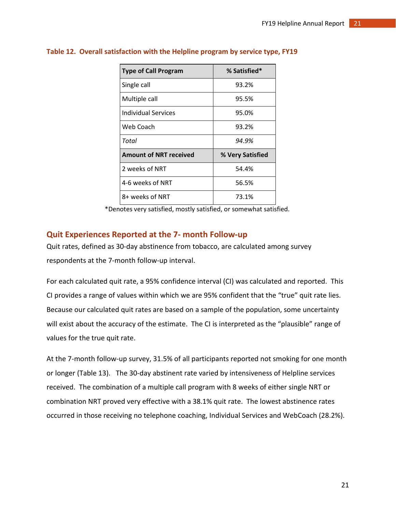| <b>Type of Call Program</b>   | % Satisfied*     |
|-------------------------------|------------------|
| Single call                   | 93.2%            |
| Multiple call                 | 95.5%            |
| Individual Services           | 95.0%            |
| Web Coach                     | 93.2%            |
| Total                         | 94.9%            |
| <b>Amount of NRT received</b> | % Very Satisfied |
| 2 weeks of NRT                | 54.4%            |
| 4-6 weeks of NRT              | 56.5%            |
| 8+ weeks of NRT               | 73.1%            |

#### **Table 12. Overall satisfaction with the Helpline program by service type, FY19**

\*Denotes very satisfied, mostly satisfied, or somewhat satisfied.

#### <span id="page-20-0"></span>**Quit Experiences Reported at the 7- month Follow-up**

Quit rates, defined as 30-day abstinence from tobacco, are calculated among survey respondents at the 7-month follow-up interval.

For each calculated quit rate, a 95% confidence interval (CI) was calculated and reported. This CI provides a range of values within which we are 95% confident that the "true" quit rate lies. Because our calculated quit rates are based on a sample of the population, some uncertainty will exist about the accuracy of the estimate. The CI is interpreted as the "plausible" range of values for the true quit rate.

At the 7-month follow-up survey, 31.5% of all participants reported not smoking for one month or longer (Table 13). The 30-day abstinent rate varied by intensiveness of Helpline services received. The combination of a multiple call program with 8 weeks of either single NRT or combination NRT proved very effective with a 38.1% quit rate. The lowest abstinence rates occurred in those receiving no telephone coaching, Individual Services and WebCoach (28.2%).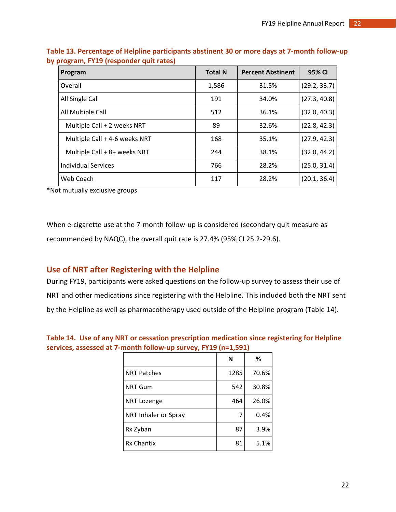| Program                       | <b>Total N</b> | <b>Percent Abstinent</b> | 95% CI       |
|-------------------------------|----------------|--------------------------|--------------|
| Overall                       | 1,586          | 31.5%                    | (29.2, 33.7) |
| All Single Call               | 191            | 34.0%                    | (27.3, 40.8) |
| All Multiple Call             | 512            | 36.1%                    | (32.0, 40.3) |
| Multiple Call + 2 weeks NRT   | 89             | 32.6%                    | (22.8, 42.3) |
| Multiple Call + 4-6 weeks NRT | 168            | 35.1%                    | (27.9, 42.3) |
| Multiple Call + 8+ weeks NRT  | 244            | 38.1%                    | (32.0, 44.2) |
| <b>Individual Services</b>    | 766            | 28.2%                    | (25.0, 31.4) |
| Web Coach                     | 117            | 28.2%                    | (20.1, 36.4) |

**Table 13. Percentage of Helpline participants abstinent 30 or more days at 7-month follow-up by program, FY19 (responder quit rates)**

\*Not mutually exclusive groups

When e-cigarette use at the 7-month follow-up is considered (secondary quit measure as recommended by NAQC), the overall quit rate is 27.4% (95% CI 25.2-29.6).

## <span id="page-21-0"></span>**Use of NRT after Registering with the Helpline**

During FY19, participants were asked questions on the follow-up survey to assess their use of NRT and other medications since registering with the Helpline. This included both the NRT sent by the Helpline as well as pharmacotherapy used outside of the Helpline program (Table 14).

|                      | N    | ℅     |
|----------------------|------|-------|
| <b>NRT Patches</b>   | 1285 | 70.6% |
| <b>NRT Gum</b>       | 542  | 30.8% |
| NRT Lozenge          | 464  | 26.0% |
| NRT Inhaler or Spray | 7    | 0.4%  |
| Rx Zyban             | 87   | 3.9%  |
| <b>Rx Chantix</b>    | 81   | 5.1%  |

**Table 14. Use of any NRT or cessation prescription medication since registering for Helpline services, assessed at 7-month follow-up survey, FY19 (n=1,591)**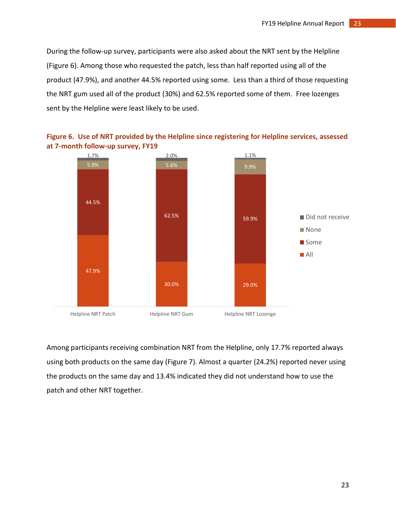During the follow-up survey, participants were also asked about the NRT sent by the Helpline (Figure 6). Among those who requested the patch, less than half reported using all of the product (47.9%), and another 44.5% reported using some. Less than a third of those requesting the NRT gum used all of the product (30%) and 62.5% reported some of them. Free lozenges sent by the Helpline were least likely to be used.





Among participants receiving combination NRT from the Helpline, only 17.7% reported always using both products on the same day (Figure 7). Almost a quarter (24.2%) reported never using the products on the same day and 13.4% indicated they did not understand how to use the patch and other NRT together.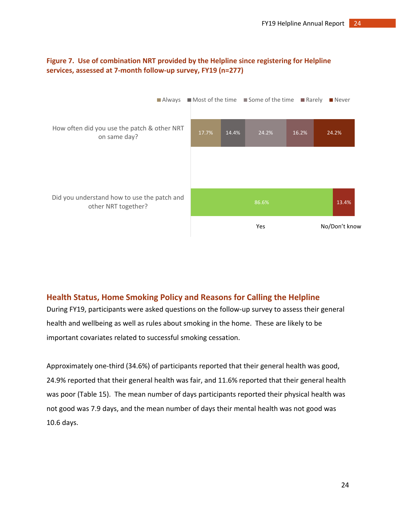

#### **Figure 7. Use of combination NRT provided by the Helpline since registering for Helpline services, assessed at 7-month follow-up survey, FY19 (n=277)**

# <span id="page-23-0"></span>**Health Status, Home Smoking Policy and Reasons for Calling the Helpline**

During FY19, participants were asked questions on the follow-up survey to assess their general health and wellbeing as well as rules about smoking in the home. These are likely to be important covariates related to successful smoking cessation.

Approximately one-third (34.6%) of participants reported that their general health was good, 24.9% reported that their general health was fair, and 11.6% reported that their general health was poor (Table 15). The mean number of days participants reported their physical health was not good was 7.9 days, and the mean number of days their mental health was not good was 10.6 days.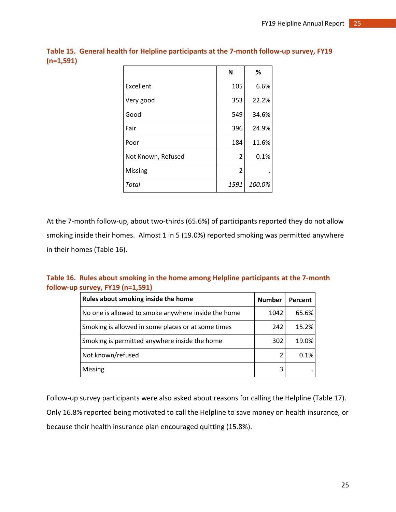|                    | N    | %      |
|--------------------|------|--------|
| Excellent          | 105  | 6.6%   |
| Very good          | 353  | 22.2%  |
| Good               | 549  | 34.6%  |
| Fair               | 396  | 24.9%  |
| Poor               | 184  | 11.6%  |
| Not Known, Refused | 2    | 0.1%   |
| Missing            | 2    |        |
| Total              | 1591 | 100.0% |

**Table 15. General health for Helpline participants at the 7-month follow-up survey, FY19 (n=1,591)**

At the 7-month follow-up, about two-thirds (65.6%) of participants reported they do not allow smoking inside their homes. Almost 1 in 5 (19.0%) reported smoking was permitted anywhere in their homes (Table 16).

**Table 16. Rules about smoking in the home among Helpline participants at the 7-month follow-up survey, FY19 (n=1,591)**

| Rules about smoking inside the home                 | <b>Number</b> | Percent |
|-----------------------------------------------------|---------------|---------|
| No one is allowed to smoke anywhere inside the home | 1042          | 65.6%   |
| Smoking is allowed in some places or at some times  | 242           | 15.2%   |
| Smoking is permitted anywhere inside the home       | 302           | 19.0%   |
| Not known/refused                                   | $\mathcal{L}$ | 0.1%    |
| <b>Missing</b>                                      | 3             |         |

Follow-up survey participants were also asked about reasons for calling the Helpline (Table 17). Only 16.8% reported being motivated to call the Helpline to save money on health insurance, or because their health insurance plan encouraged quitting (15.8%).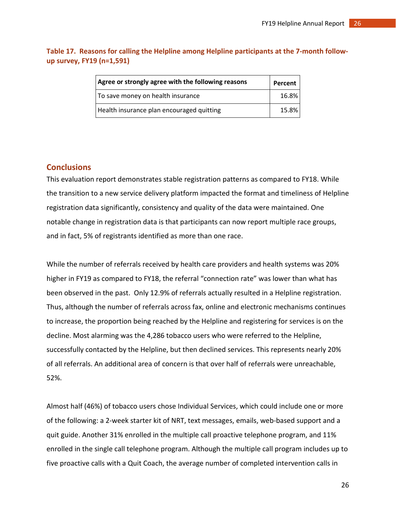| Agree or strongly agree with the following reasons | Percent |
|----------------------------------------------------|---------|
| To save money on health insurance                  | 16.8%   |
| Health insurance plan encouraged quitting          | 15.8%   |

**Table 17. Reasons for calling the Helpline among Helpline participants at the 7-month followup survey, FY19 (n=1,591)**

#### <span id="page-25-0"></span>**Conclusions**

This evaluation report demonstrates stable registration patterns as compared to FY18. While the transition to a new service delivery platform impacted the format and timeliness of Helpline registration data significantly, consistency and quality of the data were maintained. One notable change in registration data is that participants can now report multiple race groups, and in fact, 5% of registrants identified as more than one race.

While the number of referrals received by health care providers and health systems was 20% higher in FY19 as compared to FY18, the referral "connection rate" was lower than what has been observed in the past. Only 12.9% of referrals actually resulted in a Helpline registration. Thus, although the number of referrals across fax, online and electronic mechanisms continues to increase, the proportion being reached by the Helpline and registering for services is on the decline. Most alarming was the 4,286 tobacco users who were referred to the Helpline, successfully contacted by the Helpline, but then declined services. This represents nearly 20% of all referrals. An additional area of concern is that over half of referrals were unreachable, 52%.

Almost half (46%) of tobacco users chose Individual Services, which could include one or more of the following: a 2-week starter kit of NRT, text messages, emails, web-based support and a quit guide. Another 31% enrolled in the multiple call proactive telephone program, and 11% enrolled in the single call telephone program. Although the multiple call program includes up to five proactive calls with a Quit Coach, the average number of completed intervention calls in